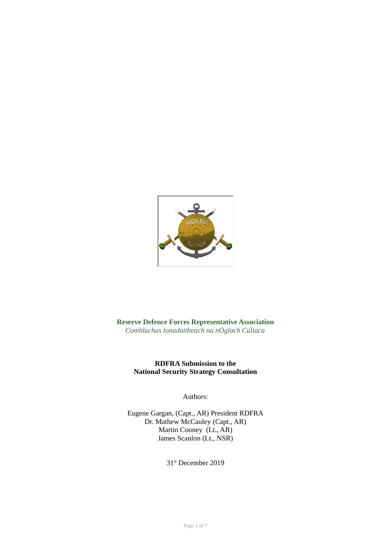

**Reserve Defence Forces Representative Association** *Comhlachas lonadaitheach na nÓglach Cúltaca*

### **RDFRA Submission to the National Security Strategy Consultation**

Authors:

Eugene Gargan, (Capt., AR) President RDFRA Dr. Mathew McCauley (Capt., AR) Martin Cooney (Lt., AR) James Scanlon (Lt., NSR)

31st December 2019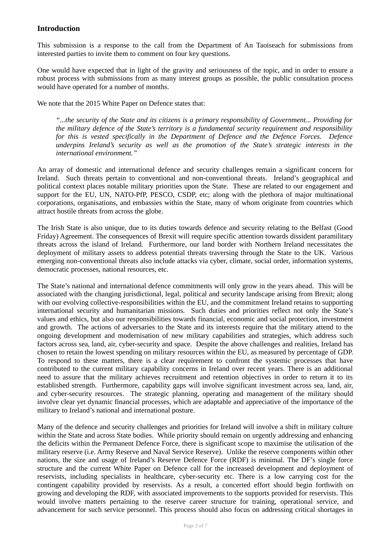### **Introduction**

This submission is a response to the call from the Department of An Taoiseach for submissions from interested parties to invite them to comment on four key questions.

One would have expected that in light of the gravity and seriousness of the topic, and in order to ensure a robust process with submissions from as many interest groups as possible, the public consultation process would have operated for a number of months.

We note that the 2015 White Paper on Defence states that:

*"...the security of the State and its citizens is a primary responsibility of Government... Providing for the military defence of the State's territory is a fundamental security requirement and responsibility for this is vested specifically in the Department of Defence and the Defence Forces. Defence underpins Ireland's security as well as the promotion of the State's strategic interests in the international environment."*

An array of domestic and international defence and security challenges remain a significant concern for Ireland. Such threats pertain to conventional and non-conventional threats. Ireland's geographical and political context places notable military priorities upon the State. These are related to our engagement and support for the EU, UN, NATO-PfP, PESCO, CSDP, etc; along with the plethora of major multinational corporations, organisations, and embassies within the State, many of whom originate from countries which attract hostile threats from across the globe.

The Irish State is also unique, due to its duties towards defence and security relating to the Belfast (Good Friday) Agreement. The consequences of Brexit will require specific attention towards dissident paramilitary threats across the island of Ireland. Furthermore, our land border with Northern Ireland necessitates the deployment of military assets to address potential threats traversing through the State to the UK. Various emerging non-conventional threats also include attacks via cyber, climate, social order, information systems, democratic processes, national resources, etc.

The State's national and international defence commitments will only grow in the years ahead. This will be associated with the changing jurisdictional, legal, political and security landscape arising from Brexit; along with our evolving collective-responsibilities within the EU, and the commitment Ireland retains to supporting international security and humanitarian missions. Such duties and priorities reflect not only the State's values and ethics, but also our responsibilities towards financial, economic and social protection, investment and growth. The actions of adversaries to the State and its interests require that the military attend to the ongoing development and modernisation of new military capabilities and strategies, which address such factors across sea, land, air, cyber-security and space. Despite the above challenges and realities, Ireland has chosen to retain the lowest spending on military resources within the EU, as measured by percentage of GDP. To respond to these matters, there is a clear requirement to confront the systemic processes that have contributed to the current military capability concerns in Ireland over recent years. There is an additional need to assure that the military achieves recruitment and retention objectives in order to return it to its established strength. Furthermore, capability gaps will involve significant investment across sea, land, air, and cyber-security resources. The strategic planning, operating and management of the military should involve clear yet dynamic financial processes, which are adaptable and appreciative of the importance of the military to Ireland's national and international posture.

Many of the defence and security challenges and priorities for Ireland will involve a shift in military culture within the State and across State bodies. While priority should remain on urgently addressing and enhancing the deficits within the Permanent Defence Force, there is significant scope to maximise the utilisation of the military reserve (i.e. Army Reserve and Naval Service Reserve). Unlike the reserve components within other nations, the size and usage of Ireland's Reserve Defence Force (RDF) is minimal. The DF's single force structure and the current White Paper on Defence call for the increased development and deployment of reservists, including specialists in healthcare, cyber-security etc. There is a low carrying cost for the contingent capability provided by reservists. As a result, a concerted effort should begin forthwith on growing and developing the RDF, with associated improvements to the supports provided for reservists. This would involve matters pertaining to the reserve career structure for training, operational service, and advancement for such service personnel. This process should also focus on addressing critical shortages in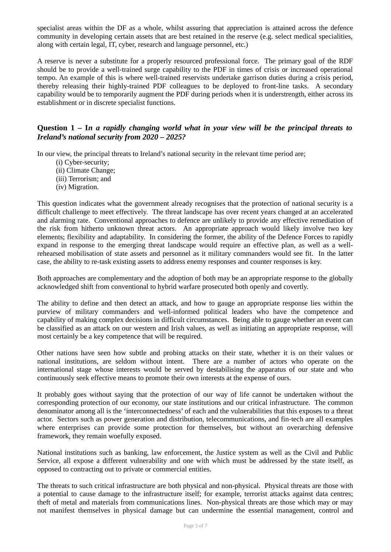specialist areas within the DF as a whole, whilst assuring that appreciation is attained across the defence community in developing certain assets that are best retained in the reserve (e.g. select medical specialities, along with certain legal, IT, cyber, research and language personnel, etc.)

A reserve is never a substitute for a properly resourced professional force. The primary goal of the RDF should be to provide a well-trained surge capability to the PDF in times of crisis or increased operational tempo. An example of this is where well-trained reservists undertake garrison duties during a crisis period, thereby releasing their highly-trained PDF colleagues to be deployed to front-line tasks. A secondary capability would be to temporarily augment the PDF during periods when it is understrength, either across its establishment or in discrete specialist functions.

### **Question 1 – I***n a rapidly changing world what in your view will be the principal threats to Ireland's national security from 2020 – 2025?*

In our view, the principal threats to Ireland's national security in the relevant time period are;

- (i) Cyber-security;
- (ii) Climate Change;
- (iii) Terrorism; and
- (iv) Migration.

This question indicates what the government already recognises that the protection of national security is a difficult challenge to meet effectively. The threat landscape has over recent years changed at an accelerated and alarming rate. Conventional approaches to defence are unlikely to provide any effective remediation of the risk from hitherto unknown threat actors. An appropriate approach would likely involve two key elements; flexibility and adaptability. In considering the former, the ability of the Defence Forces to rapidly expand in response to the emerging threat landscape would require an effective plan, as well as a wellrehearsed mobilisation of state assets and personnel as it military commanders would see fit. In the latter case, the ability to re-task existing assets to address enemy responses and counter responses is key.

Both approaches are complementary and the adoption of both may be an appropriate response to the globally acknowledged shift from conventional to hybrid warfare prosecuted both openly and covertly.

The ability to define and then detect an attack, and how to gauge an appropriate response lies within the purview of military commanders and well-informed political leaders who have the competence and capability of making complex decisions in difficult circumstances. Being able to gauge whether an event can be classified as an attack on our western and Irish values, as well as initiating an appropriate response, will most certainly be a key competence that will be required.

Other nations have seen how subtle and probing attacks on their state, whether it is on their values or national institutions, are seldom without intent. There are a number of actors who operate on the international stage whose interests would be served by destabilising the apparatus of our state and who continuously seek effective means to promote their own interests at the expense of ours.

It probably goes without saying that the protection of our way of life cannot be undertaken without the corresponding protection of our economy, our state institutions and our critical infrastructure. The common denominator among all is the 'interconnectedness' of each and the vulnerabilities that this exposes to a threat actor. Sectors such as power generation and distribution, telecommunications, and fin-tech are all examples where enterprises can provide some protection for themselves, but without an overarching defensive framework, they remain woefully exposed.

National institutions such as banking, law enforcement, the Justice system as well as the Civil and Public Service, all expose a different vulnerability and one with which must be addressed by the state itself, as opposed to contracting out to private or commercial entities.

The threats to such critical infrastructure are both physical and non-physical. Physical threats are those with a potential to cause damage to the infrastructure itself; for example, terrorist attacks against data centres; theft of metal and materials from communications lines. Non-physical threats are those which may or may not manifest themselves in physical damage but can undermine the essential management, control and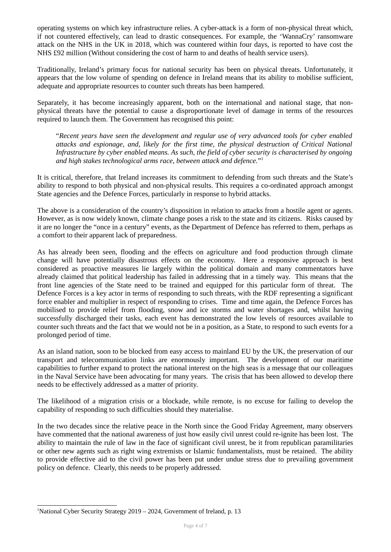operating systems on which key infrastructure relies. A cyber-attack is a form of non-physical threat which, if not countered effectively, can lead to drastic consequences. For example, the 'WannaCry' ransomware attack on the NHS in the UK in 2018, which was countered within four days, is reported to have cost the NHS £92 million (Without considering the cost of harm to and deaths of health service users).

Traditionally, Ireland's primary focus for national security has been on physical threats. Unfortunately, it appears that the low volume of spending on defence in Ireland means that its ability to mobilise sufficient, adequate and appropriate resources to counter such threats has been hampered.

Separately, it has become increasingly apparent, both on the international and national stage, that nonphysical threats have the potential to cause a disproportionate level of damage in terms of the resources required to launch them. The Government has recognised this point:

"*Recent years have seen the development and regular use of very advanced tools for cyber enabled attacks and espionage, and, likely for the first time, the physical destruction of Critical National Infrastructure by cyber enabled means. As such, the field of cyber security is characterised by ongoing and high stakes technological arms race, between attack and defence.*" [1](#page-3-0)

It is critical, therefore, that Ireland increases its commitment to defending from such threats and the State's ability to respond to both physical and non-physical results. This requires a co-ordinated approach amongst State agencies and the Defence Forces, particularly in response to hybrid attacks.

The above is a consideration of the country's disposition in relation to attacks from a hostile agent or agents. However, as is now widely known, climate change poses a risk to the state and its citizens. Risks caused by it are no longer the "once in a century" events, as the Department of Defence has referred to them, perhaps as a comfort to their apparent lack of preparedness.

As has already been seen, flooding and the effects on agriculture and food production through climate change will have potentially disastrous effects on the economy. Here a responsive approach is best considered as proactive measures lie largely within the political domain and many commentators have already claimed that political leadership has failed in addressing that in a timely way. This means that the front line agencies of the State need to be trained and equipped for this particular form of threat. The Defence Forces is a key actor in terms of responding to such threats, with the RDF representing a significant force enabler and multiplier in respect of responding to crises. Time and time again, the Defence Forces has mobilised to provide relief from flooding, snow and ice storms and water shortages and, whilst having successfully discharged their tasks, each event has demonstrated the low levels of resources available to counter such threats and the fact that we would not be in a position, as a State, to respond to such events for a prolonged period of time.

As an island nation, soon to be blocked from easy access to mainland EU by the UK, the preservation of our transport and telecommunication links are enormously important. The development of our maritime capabilities to further expand to protect the national interest on the high seas is a message that our colleagues in the Naval Service have been advocating for many years. The crisis that has been allowed to develop there needs to be effectively addressed as a matter of priority.

The likelihood of a migration crisis or a blockade, while remote, is no excuse for failing to develop the capability of responding to such difficulties should they materialise.

In the two decades since the relative peace in the North since the Good Friday Agreement, many observers have commented that the national awareness of just how easily civil unrest could re-ignite has been lost. The ability to maintain the rule of law in the face of significant civil unrest, be it from republican paramilitaries or other new agents such as right wing extremists or Islamic fundamentalists, must be retained. The ability to provide effective aid to the civil power has been put under undue stress due to prevailing government policy on defence. Clearly, this needs to be properly addressed.

<span id="page-3-0"></span><sup>&</sup>lt;sup>1</sup>National Cyber Security Strategy 2019 – 2024, Government of Ireland, p. 13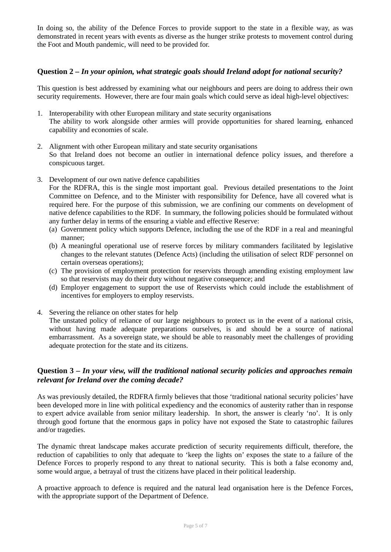In doing so, the ability of the Defence Forces to provide support to the state in a flexible way, as was demonstrated in recent years with events as diverse as the hunger strike protests to movement control during the Foot and Mouth pandemic, will need to be provided for.

### **Question 2 –** *In your opinion, what strategic goals should Ireland adopt for national security?*

This question is best addressed by examining what our neighbours and peers are doing to address their own security requirements. However, there are four main goals which could serve as ideal high-level objectives:

- 1. Interoperability with other European military and state security organisations The ability to work alongside other armies will provide opportunities for shared learning, enhanced capability and economies of scale.
- 2. Alignment with other European military and state security organisations So that Ireland does not become an outlier in international defence policy issues, and therefore a conspicuous target.
- 3. Development of our own native defence capabilities

For the RDFRA, this is the single most important goal. Previous detailed presentations to the Joint Committee on Defence, and to the Minister with responsibility for Defence, have all covered what is required here. For the purpose of this submission, we are confining our comments on development of native defence capabilities to the RDF. In summary, the following policies should be formulated without any further delay in terms of the ensuring a viable and effective Reserve:

- (a) Government policy which supports Defence, including the use of the RDF in a real and meaningful manner;
- (b) A meaningful operational use of reserve forces by military commanders facilitated by legislative changes to the relevant statutes (Defence Acts) (including the utilisation of select RDF personnel on certain overseas operations);
- (c) The provision of employment protection for reservists through amending existing employment law so that reservists may do their duty without negative consequence; and
- (d) Employer engagement to support the use of Reservists which could include the establishment of incentives for employers to employ reservists.
- 4. Severing the reliance on other states for help

The unstated policy of reliance of our large neighbours to protect us in the event of a national crisis, without having made adequate preparations ourselves, is and should be a source of national embarrassment. As a sovereign state, we should be able to reasonably meet the challenges of providing adequate protection for the state and its citizens.

# **Question 3 –** *In your view, will the traditional national security policies and approaches remain relevant for Ireland over the coming decade?*

As was previously detailed, the RDFRA firmly believes that those 'traditional national security policies' have been developed more in line with political expediency and the economics of austerity rather than in response to expert advice available from senior military leadership. In short, the answer is clearly 'no'. It is only through good fortune that the enormous gaps in policy have not exposed the State to catastrophic failures and/or tragedies.

The dynamic threat landscape makes accurate prediction of security requirements difficult, therefore, the reduction of capabilities to only that adequate to 'keep the lights on' exposes the state to a failure of the Defence Forces to properly respond to any threat to national security. This is both a false economy and, some would argue, a betrayal of trust the citizens have placed in their political leadership.

A proactive approach to defence is required and the natural lead organisation here is the Defence Forces, with the appropriate support of the Department of Defence.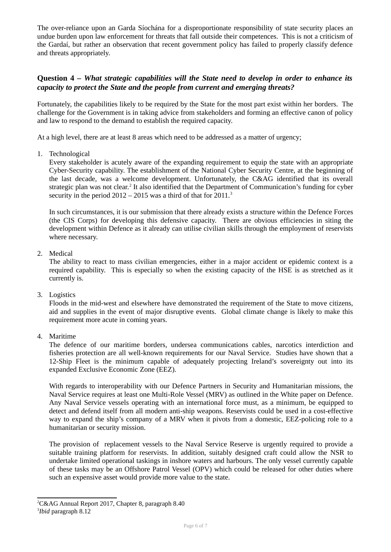The over-reliance upon an Garda Síochána for a disproportionate responsibility of state security places an undue burden upon law enforcement for threats that fall outside their competences. This is not a criticism of the Gardaí, but rather an observation that recent government policy has failed to properly classify defence and threats appropriately.

# **Question 4 –** *What strategic capabilities will the State need to develop in order to enhance its capacity to protect the State and the people from current and emerging threats?*

Fortunately, the capabilities likely to be required by the State for the most part exist within her borders. The challenge for the Government is in taking advice from stakeholders and forming an effective canon of policy and law to respond to the demand to establish the required capacity.

At a high level, there are at least 8 areas which need to be addressed as a matter of urgency;

1. Technological

Every stakeholder is acutely aware of the expanding requirement to equip the state with an appropriate Cyber-Security capability. The establishment of the National Cyber Security Centre, at the beginning of the last decade, was a welcome development. Unfortunately, the C&AG identified that its overall strategic plan was not clear.<sup>[2](#page-5-0)</sup> It also identified that the Department of Communication's funding for cyber security in the period  $2012 - 2015$  was a third of that for  $2011.<sup>3</sup>$  $2011.<sup>3</sup>$  $2011.<sup>3</sup>$ 

In such circumstances, it is our submission that there already exists a structure within the Defence Forces (the CIS Corps) for developing this defensive capacity. There are obvious efficiencies in siting the development within Defence as it already can utilise civilian skills through the employment of reservists where necessary.

2. Medical

The ability to react to mass civilian emergencies, either in a major accident or epidemic context is a required capability. This is especially so when the existing capacity of the HSE is as stretched as it currently is.

3. Logistics

Floods in the mid-west and elsewhere have demonstrated the requirement of the State to move citizens, aid and supplies in the event of major disruptive events. Global climate change is likely to make this requirement more acute in coming years.

4. Maritime

The defence of our maritime borders, undersea communications cables, narcotics interdiction and fisheries protection are all well-known requirements for our Naval Service. Studies have shown that a 12-Ship Fleet is the minimum capable of adequately projecting Ireland's sovereignty out into its expanded Exclusive Economic Zone (EEZ).

With regards to interoperability with our Defence Partners in Security and Humanitarian missions, the Naval Service requires at least one Multi-Role Vessel (MRV) as outlined in the White paper on Defence. Any Naval Service vessels operating with an international force must, as a minimum, be equipped to detect and defend itself from all modern anti-ship weapons. Reservists could be used in a cost-effective way to expand the ship's company of a MRV when it pivots from a domestic, EEZ-policing role to a humanitarian or security mission.

The provision of replacement vessels to the Naval Service Reserve is urgently required to provide a suitable training platform for reservists. In addition, suitably designed craft could allow the NSR to undertake limited operational taskings in inshore waters and harbours. The only vessel currently capable of these tasks may be an Offshore Patrol Vessel (OPV) which could be released for other duties where such an expensive asset would provide more value to the state.

<span id="page-5-0"></span><sup>2</sup>C&AG Annual Report 2017, Chapter 8, paragraph 8.40

<span id="page-5-1"></span><sup>3</sup> *Ibid* paragraph 8.12